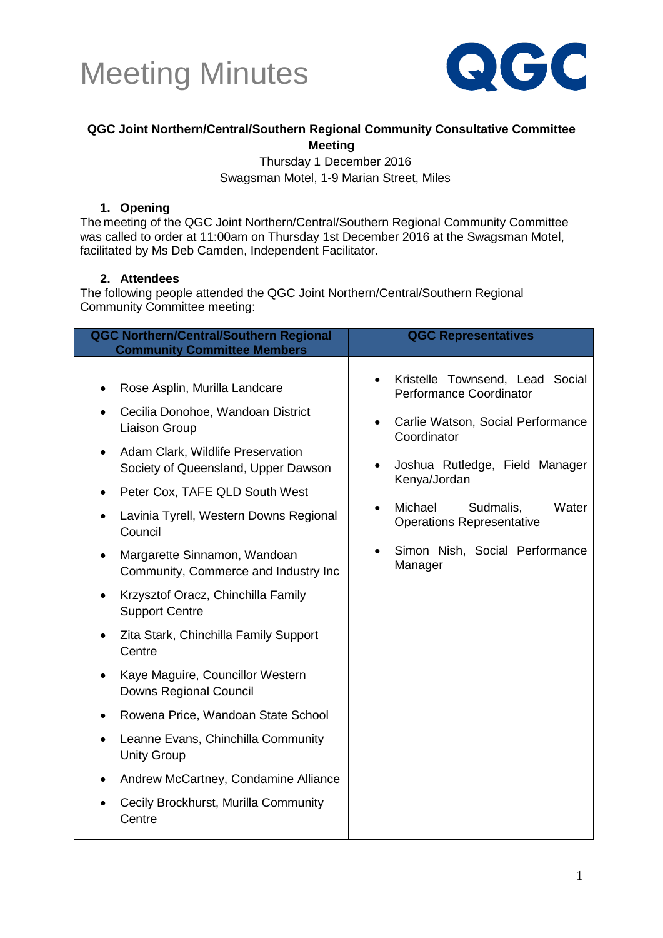



#### **QGC Joint Northern/Central/Southern Regional Community Consultative Committee Meeting**

Thursday 1 December 2016 Swagsman Motel, 1-9 Marian Street, Miles

#### **1. Opening**

The meeting of the QGC Joint Northern/Central/Southern Regional Community Committee was called to order at 11:00am on Thursday 1st December 2016 at the Swagsman Motel, facilitated by Ms Deb Camden, Independent Facilitator.

#### **2. Attendees**

The following people attended the QGC Joint Northern/Central/Southern Regional Community Committee meeting:

| <b>QGC Northern/Central/Southern Regional</b><br><b>Community Committee Members</b>                                                                                                                                                                                                                                                                                                                                                                                                                                                                                                                                                                                                                                                                                                                                     | <b>QGC Representatives</b>                                                                                                                                                                                                                                                                                                |
|-------------------------------------------------------------------------------------------------------------------------------------------------------------------------------------------------------------------------------------------------------------------------------------------------------------------------------------------------------------------------------------------------------------------------------------------------------------------------------------------------------------------------------------------------------------------------------------------------------------------------------------------------------------------------------------------------------------------------------------------------------------------------------------------------------------------------|---------------------------------------------------------------------------------------------------------------------------------------------------------------------------------------------------------------------------------------------------------------------------------------------------------------------------|
| Rose Asplin, Murilla Landcare<br>$\bullet$<br>Cecilia Donohoe, Wandoan District<br>$\bullet$<br>Liaison Group<br>Adam Clark, Wildlife Preservation<br>$\bullet$<br>Society of Queensland, Upper Dawson<br>Peter Cox, TAFE QLD South West<br>$\bullet$<br>Lavinia Tyrell, Western Downs Regional<br>Council<br>Margarette Sinnamon, Wandoan<br>$\bullet$<br>Community, Commerce and Industry Inc<br>Krzysztof Oracz, Chinchilla Family<br>٠<br><b>Support Centre</b><br>Zita Stark, Chinchilla Family Support<br>$\bullet$<br>Centre<br>Kaye Maguire, Councillor Western<br>Downs Regional Council<br>Rowena Price, Wandoan State School<br>$\bullet$<br>Leanne Evans, Chinchilla Community<br>$\bullet$<br><b>Unity Group</b><br>Andrew McCartney, Condamine Alliance<br>Cecily Brockhurst, Murilla Community<br>Centre | Kristelle Townsend, Lead Social<br>Performance Coordinator<br>Carlie Watson, Social Performance<br>Coordinator<br>Joshua Rutledge, Field Manager<br>$\bullet$<br>Kenya/Jordan<br>Michael<br>Sudmalis,<br>Water<br>$\bullet$<br><b>Operations Representative</b><br>Simon Nish, Social Performance<br>$\bullet$<br>Manager |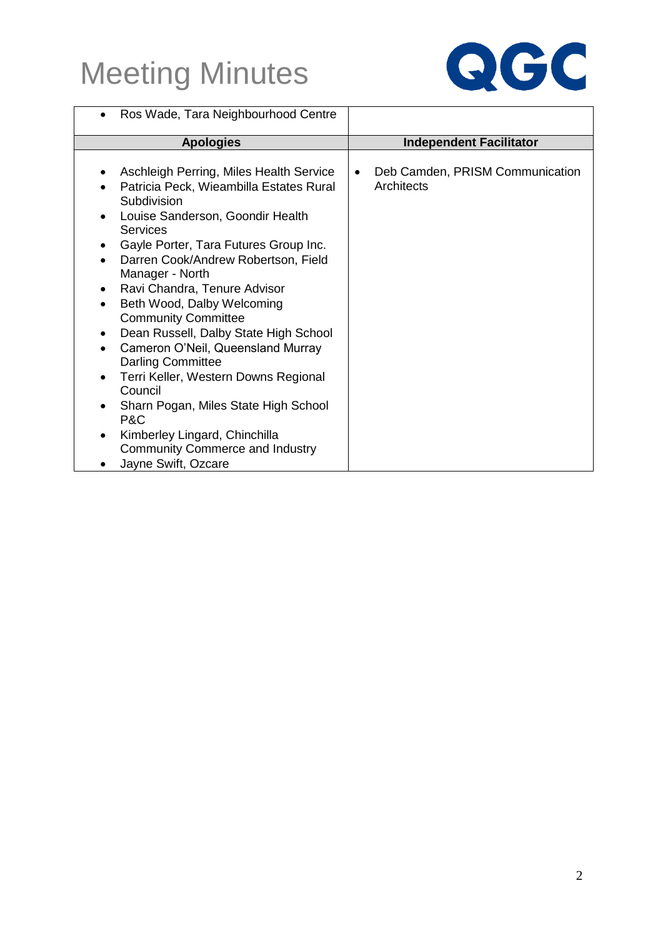

| Ros Wade, Tara Neighbourhood Centre                                                                                                                                                                                                                                                                                                                                                                                                                                                                                                                                                                                                                                                                                                                            |                                               |
|----------------------------------------------------------------------------------------------------------------------------------------------------------------------------------------------------------------------------------------------------------------------------------------------------------------------------------------------------------------------------------------------------------------------------------------------------------------------------------------------------------------------------------------------------------------------------------------------------------------------------------------------------------------------------------------------------------------------------------------------------------------|-----------------------------------------------|
| <b>Apologies</b>                                                                                                                                                                                                                                                                                                                                                                                                                                                                                                                                                                                                                                                                                                                                               | <b>Independent Facilitator</b>                |
| Aschleigh Perring, Miles Health Service<br>٠<br>Patricia Peck, Wieambilla Estates Rural<br>Subdivision<br>Louise Sanderson, Goondir Health<br>Services<br>Gayle Porter, Tara Futures Group Inc.<br>$\bullet$<br>Darren Cook/Andrew Robertson, Field<br>$\bullet$<br>Manager - North<br>Ravi Chandra, Tenure Advisor<br>$\bullet$<br>Beth Wood, Dalby Welcoming<br>$\bullet$<br><b>Community Committee</b><br>Dean Russell, Dalby State High School<br>$\bullet$<br>Cameron O'Neil, Queensland Murray<br>$\bullet$<br><b>Darling Committee</b><br>Terri Keller, Western Downs Regional<br>$\bullet$<br>Council<br>Sharn Pogan, Miles State High School<br>P&C<br>Kimberley Lingard, Chinchilla<br><b>Community Commerce and Industry</b><br>Jayne Swift, Ozcare | Deb Camden, PRISM Communication<br>Architects |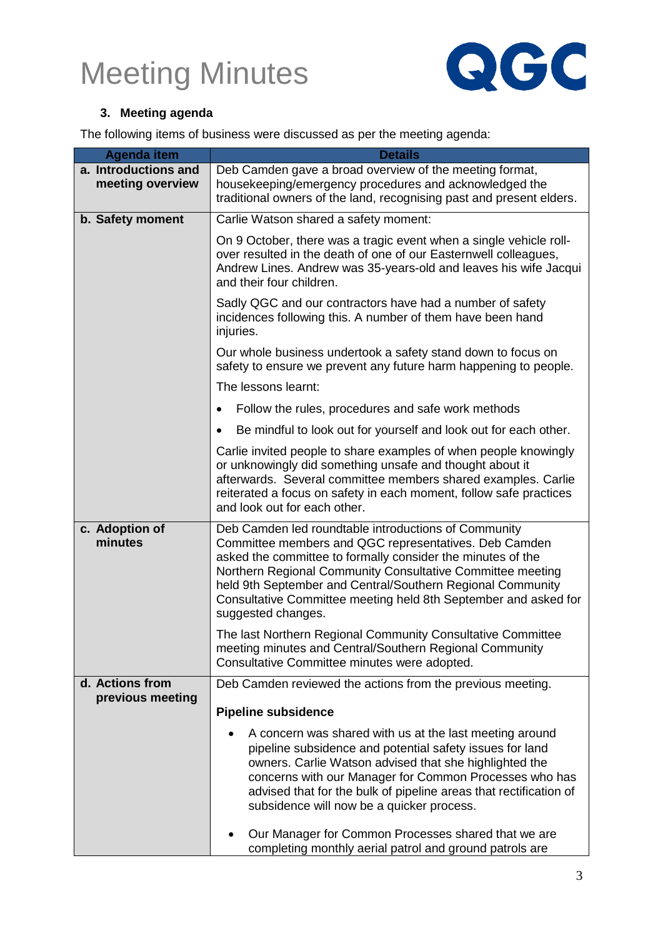

#### **3. Meeting agenda**

The following items of business were discussed as per the meeting agenda:

| <b>Agenda item</b>                       | <b>Details</b>                                                                                                                                                                                                                                                                                                                                                                                    |
|------------------------------------------|---------------------------------------------------------------------------------------------------------------------------------------------------------------------------------------------------------------------------------------------------------------------------------------------------------------------------------------------------------------------------------------------------|
| a. Introductions and<br>meeting overview | Deb Camden gave a broad overview of the meeting format,<br>housekeeping/emergency procedures and acknowledged the<br>traditional owners of the land, recognising past and present elders.                                                                                                                                                                                                         |
| b. Safety moment                         | Carlie Watson shared a safety moment:                                                                                                                                                                                                                                                                                                                                                             |
|                                          | On 9 October, there was a tragic event when a single vehicle roll-<br>over resulted in the death of one of our Easternwell colleagues,<br>Andrew Lines. Andrew was 35-years-old and leaves his wife Jacqui<br>and their four children.                                                                                                                                                            |
|                                          | Sadly QGC and our contractors have had a number of safety<br>incidences following this. A number of them have been hand<br>injuries.                                                                                                                                                                                                                                                              |
|                                          | Our whole business undertook a safety stand down to focus on<br>safety to ensure we prevent any future harm happening to people.                                                                                                                                                                                                                                                                  |
|                                          | The lessons learnt:                                                                                                                                                                                                                                                                                                                                                                               |
|                                          | Follow the rules, procedures and safe work methods                                                                                                                                                                                                                                                                                                                                                |
|                                          | Be mindful to look out for yourself and look out for each other.<br>٠                                                                                                                                                                                                                                                                                                                             |
|                                          | Carlie invited people to share examples of when people knowingly<br>or unknowingly did something unsafe and thought about it<br>afterwards. Several committee members shared examples. Carlie<br>reiterated a focus on safety in each moment, follow safe practices<br>and look out for each other.                                                                                               |
| c. Adoption of<br>minutes                | Deb Camden led roundtable introductions of Community<br>Committee members and QGC representatives. Deb Camden<br>asked the committee to formally consider the minutes of the<br>Northern Regional Community Consultative Committee meeting<br>held 9th September and Central/Southern Regional Community<br>Consultative Committee meeting held 8th September and asked for<br>suggested changes. |
|                                          | The last Northern Regional Community Consultative Committee<br>meeting minutes and Central/Southern Regional Community<br>Consultative Committee minutes were adopted.                                                                                                                                                                                                                            |
| d. Actions from<br>previous meeting      | Deb Camden reviewed the actions from the previous meeting.                                                                                                                                                                                                                                                                                                                                        |
|                                          | <b>Pipeline subsidence</b>                                                                                                                                                                                                                                                                                                                                                                        |
|                                          | A concern was shared with us at the last meeting around<br>pipeline subsidence and potential safety issues for land<br>owners. Carlie Watson advised that she highlighted the<br>concerns with our Manager for Common Processes who has<br>advised that for the bulk of pipeline areas that rectification of<br>subsidence will now be a quicker process.                                         |
|                                          | Our Manager for Common Processes shared that we are<br>completing monthly aerial patrol and ground patrols are                                                                                                                                                                                                                                                                                    |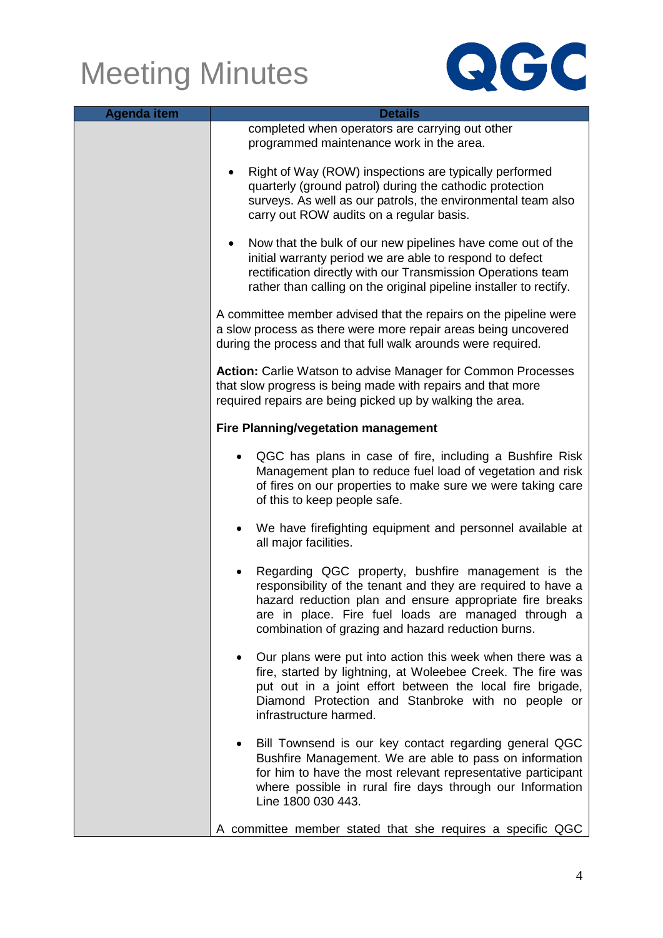

| <b>Agenda item</b> | <b>Details</b>                                                                                                                                                                                                                                                                              |  |
|--------------------|---------------------------------------------------------------------------------------------------------------------------------------------------------------------------------------------------------------------------------------------------------------------------------------------|--|
|                    | completed when operators are carrying out other<br>programmed maintenance work in the area.                                                                                                                                                                                                 |  |
|                    | Right of Way (ROW) inspections are typically performed<br>quarterly (ground patrol) during the cathodic protection<br>surveys. As well as our patrols, the environmental team also<br>carry out ROW audits on a regular basis.                                                              |  |
|                    | Now that the bulk of our new pipelines have come out of the<br>initial warranty period we are able to respond to defect<br>rectification directly with our Transmission Operations team<br>rather than calling on the original pipeline installer to rectify.                               |  |
|                    | A committee member advised that the repairs on the pipeline were<br>a slow process as there were more repair areas being uncovered<br>during the process and that full walk arounds were required.                                                                                          |  |
|                    | Action: Carlie Watson to advise Manager for Common Processes<br>that slow progress is being made with repairs and that more<br>required repairs are being picked up by walking the area.                                                                                                    |  |
|                    | <b>Fire Planning/vegetation management</b>                                                                                                                                                                                                                                                  |  |
|                    | QGC has plans in case of fire, including a Bushfire Risk<br>Management plan to reduce fuel load of vegetation and risk<br>of fires on our properties to make sure we were taking care<br>of this to keep people safe.                                                                       |  |
|                    | We have firefighting equipment and personnel available at<br>all major facilities.                                                                                                                                                                                                          |  |
|                    | Regarding QGC property, bushfire management is the<br>responsibility of the tenant and they are required to have a<br>hazard reduction plan and ensure appropriate fire breaks<br>are in place. Fire fuel loads are managed through a<br>combination of grazing and hazard reduction burns. |  |
|                    | Our plans were put into action this week when there was a<br>fire, started by lightning, at Woleebee Creek. The fire was<br>put out in a joint effort between the local fire brigade,<br>Diamond Protection and Stanbroke with no people or<br>infrastructure harmed.                       |  |
|                    | Bill Townsend is our key contact regarding general QGC<br>Bushfire Management. We are able to pass on information<br>for him to have the most relevant representative participant<br>where possible in rural fire days through our Information<br>Line 1800 030 443.                        |  |
|                    | A committee member stated that she requires a specific QGC                                                                                                                                                                                                                                  |  |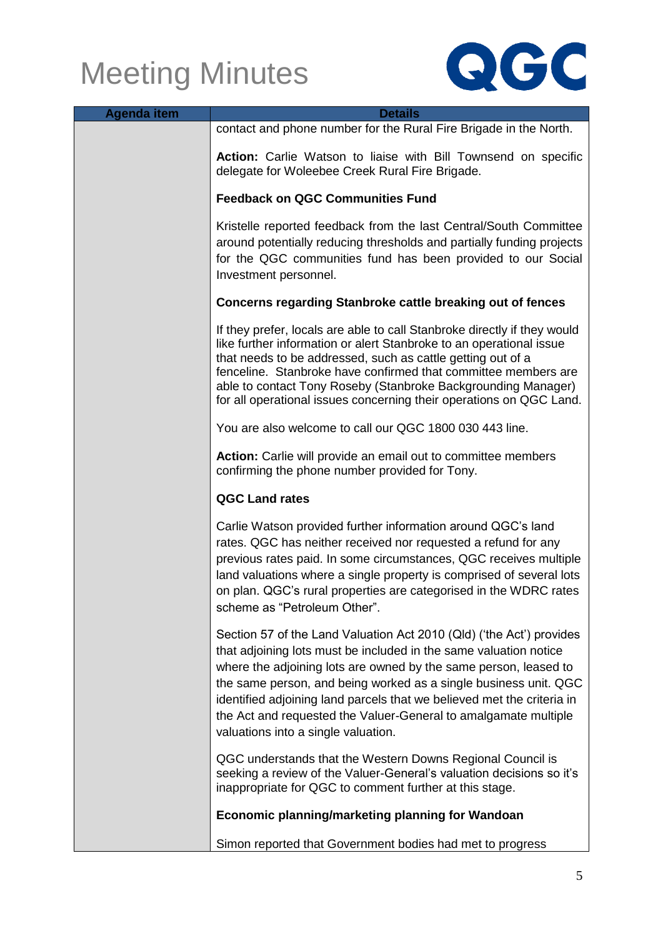

| <b>Agenda item</b> | <b>Details</b>                                                                                                                                                                                                                                                                                                                                                                                                                                                        |
|--------------------|-----------------------------------------------------------------------------------------------------------------------------------------------------------------------------------------------------------------------------------------------------------------------------------------------------------------------------------------------------------------------------------------------------------------------------------------------------------------------|
|                    | contact and phone number for the Rural Fire Brigade in the North.                                                                                                                                                                                                                                                                                                                                                                                                     |
|                    | Action: Carlie Watson to liaise with Bill Townsend on specific<br>delegate for Woleebee Creek Rural Fire Brigade.                                                                                                                                                                                                                                                                                                                                                     |
|                    | <b>Feedback on QGC Communities Fund</b>                                                                                                                                                                                                                                                                                                                                                                                                                               |
|                    | Kristelle reported feedback from the last Central/South Committee<br>around potentially reducing thresholds and partially funding projects<br>for the QGC communities fund has been provided to our Social<br>Investment personnel.                                                                                                                                                                                                                                   |
|                    | <b>Concerns regarding Stanbroke cattle breaking out of fences</b>                                                                                                                                                                                                                                                                                                                                                                                                     |
|                    | If they prefer, locals are able to call Stanbroke directly if they would<br>like further information or alert Stanbroke to an operational issue<br>that needs to be addressed, such as cattle getting out of a<br>fenceline. Stanbroke have confirmed that committee members are<br>able to contact Tony Roseby (Stanbroke Backgrounding Manager)<br>for all operational issues concerning their operations on QGC Land.                                              |
|                    | You are also welcome to call our QGC 1800 030 443 line.                                                                                                                                                                                                                                                                                                                                                                                                               |
|                    | Action: Carlie will provide an email out to committee members<br>confirming the phone number provided for Tony.                                                                                                                                                                                                                                                                                                                                                       |
|                    | <b>QGC Land rates</b>                                                                                                                                                                                                                                                                                                                                                                                                                                                 |
|                    | Carlie Watson provided further information around QGC's land<br>rates. QGC has neither received nor requested a refund for any<br>previous rates paid. In some circumstances, QGC receives multiple<br>land valuations where a single property is comprised of several lots<br>on plan. QGC's rural properties are categorised in the WDRC rates<br>scheme as "Petroleum Other".                                                                                      |
|                    | Section 57 of the Land Valuation Act 2010 (Qld) ('the Act') provides<br>that adjoining lots must be included in the same valuation notice<br>where the adjoining lots are owned by the same person, leased to<br>the same person, and being worked as a single business unit. QGC<br>identified adjoining land parcels that we believed met the criteria in<br>the Act and requested the Valuer-General to amalgamate multiple<br>valuations into a single valuation. |
|                    | QGC understands that the Western Downs Regional Council is<br>seeking a review of the Valuer-General's valuation decisions so it's<br>inappropriate for QGC to comment further at this stage.                                                                                                                                                                                                                                                                         |
|                    | Economic planning/marketing planning for Wandoan                                                                                                                                                                                                                                                                                                                                                                                                                      |
|                    | Simon reported that Government bodies had met to progress                                                                                                                                                                                                                                                                                                                                                                                                             |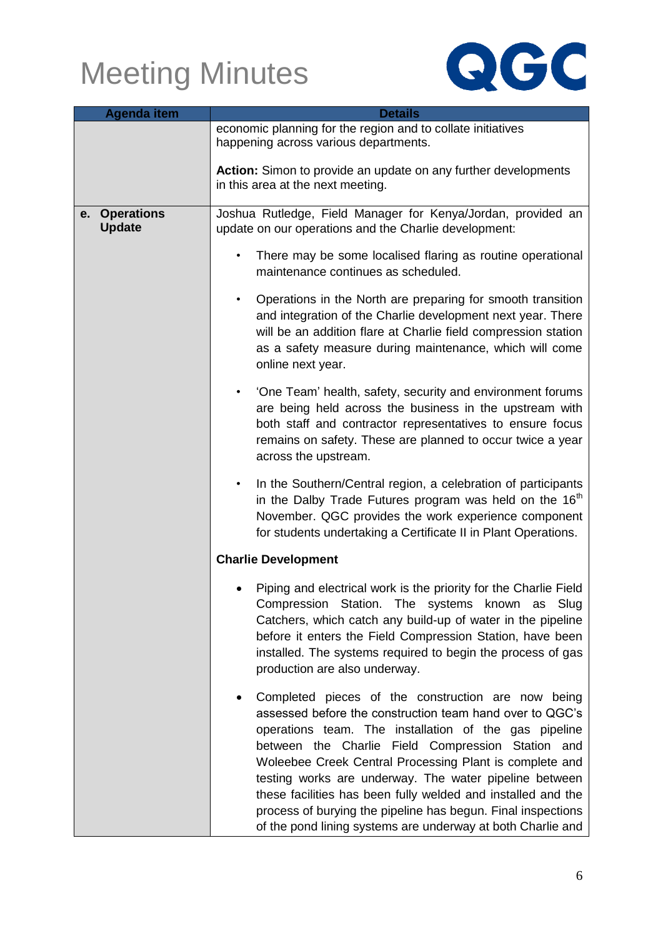

| <b>Agenda item</b>             | <b>Details</b>                                                                                                                                                                                                                                                                                                                                                                                                                                                                                                                                   |  |
|--------------------------------|--------------------------------------------------------------------------------------------------------------------------------------------------------------------------------------------------------------------------------------------------------------------------------------------------------------------------------------------------------------------------------------------------------------------------------------------------------------------------------------------------------------------------------------------------|--|
|                                | economic planning for the region and to collate initiatives<br>happening across various departments.                                                                                                                                                                                                                                                                                                                                                                                                                                             |  |
|                                | Action: Simon to provide an update on any further developments<br>in this area at the next meeting.                                                                                                                                                                                                                                                                                                                                                                                                                                              |  |
| e. Operations<br><b>Update</b> | Joshua Rutledge, Field Manager for Kenya/Jordan, provided an<br>update on our operations and the Charlie development:                                                                                                                                                                                                                                                                                                                                                                                                                            |  |
|                                | There may be some localised flaring as routine operational<br>$\bullet$<br>maintenance continues as scheduled.                                                                                                                                                                                                                                                                                                                                                                                                                                   |  |
|                                | Operations in the North are preparing for smooth transition<br>$\bullet$<br>and integration of the Charlie development next year. There<br>will be an addition flare at Charlie field compression station<br>as a safety measure during maintenance, which will come<br>online next year.                                                                                                                                                                                                                                                        |  |
|                                | 'One Team' health, safety, security and environment forums<br>$\bullet$<br>are being held across the business in the upstream with<br>both staff and contractor representatives to ensure focus<br>remains on safety. These are planned to occur twice a year<br>across the upstream.                                                                                                                                                                                                                                                            |  |
|                                | In the Southern/Central region, a celebration of participants<br>$\bullet$<br>in the Dalby Trade Futures program was held on the 16 <sup>th</sup><br>November. QGC provides the work experience component<br>for students undertaking a Certificate II in Plant Operations.                                                                                                                                                                                                                                                                      |  |
|                                | <b>Charlie Development</b>                                                                                                                                                                                                                                                                                                                                                                                                                                                                                                                       |  |
|                                | Piping and electrical work is the priority for the Charlie Field<br>Compression Station. The systems known as Slug<br>Catchers, which catch any build-up of water in the pipeline<br>before it enters the Field Compression Station, have been<br>installed. The systems required to begin the process of gas<br>production are also underway.                                                                                                                                                                                                   |  |
|                                | Completed pieces of the construction are now being<br>assessed before the construction team hand over to QGC's<br>operations team. The installation of the gas pipeline<br>between the Charlie Field Compression Station and<br>Woleebee Creek Central Processing Plant is complete and<br>testing works are underway. The water pipeline between<br>these facilities has been fully welded and installed and the<br>process of burying the pipeline has begun. Final inspections<br>of the pond lining systems are underway at both Charlie and |  |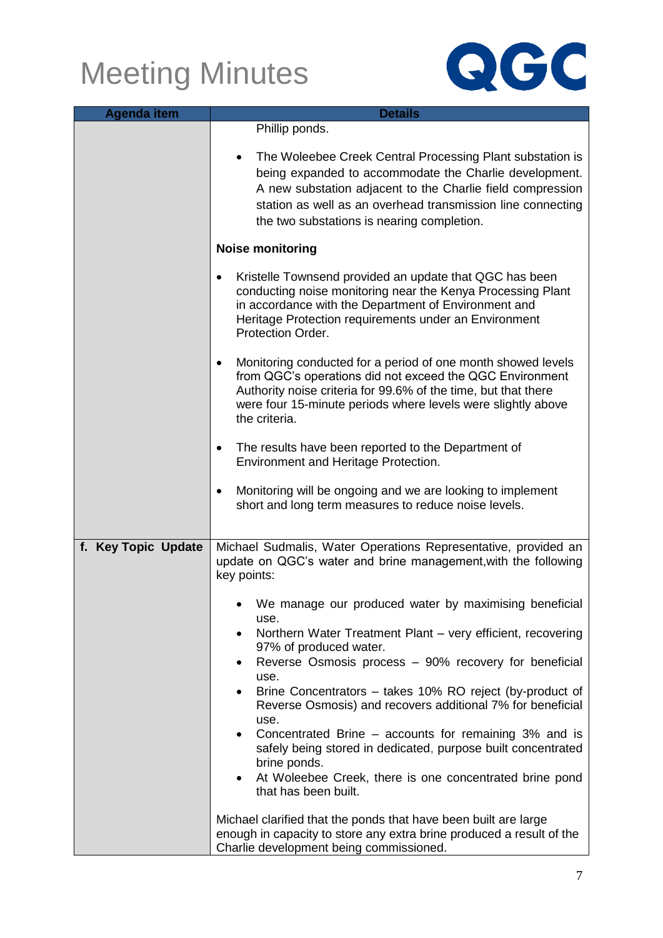

| <b>Agenda item</b>  | <b>Details</b>                                                                                                                                                                                                                                                                                 |
|---------------------|------------------------------------------------------------------------------------------------------------------------------------------------------------------------------------------------------------------------------------------------------------------------------------------------|
|                     | Phillip ponds.                                                                                                                                                                                                                                                                                 |
|                     | The Woleebee Creek Central Processing Plant substation is<br>being expanded to accommodate the Charlie development.<br>A new substation adjacent to the Charlie field compression<br>station as well as an overhead transmission line connecting<br>the two substations is nearing completion. |
|                     | <b>Noise monitoring</b>                                                                                                                                                                                                                                                                        |
|                     | Kristelle Townsend provided an update that QGC has been<br>$\bullet$<br>conducting noise monitoring near the Kenya Processing Plant<br>in accordance with the Department of Environment and<br>Heritage Protection requirements under an Environment<br>Protection Order.                      |
|                     | Monitoring conducted for a period of one month showed levels<br>$\bullet$<br>from QGC's operations did not exceed the QGC Environment<br>Authority noise criteria for 99.6% of the time, but that there<br>were four 15-minute periods where levels were slightly above<br>the criteria.       |
|                     | The results have been reported to the Department of<br>٠<br>Environment and Heritage Protection.                                                                                                                                                                                               |
|                     | Monitoring will be ongoing and we are looking to implement<br>$\bullet$<br>short and long term measures to reduce noise levels.                                                                                                                                                                |
| f. Key Topic Update | Michael Sudmalis, Water Operations Representative, provided an<br>update on QGC's water and brine management, with the following<br>key points:                                                                                                                                                |
|                     | We manage our produced water by maximising beneficial                                                                                                                                                                                                                                          |
|                     | use.<br>Northern Water Treatment Plant - very efficient, recovering<br>$\bullet$<br>97% of produced water.                                                                                                                                                                                     |
|                     | Reverse Osmosis process - 90% recovery for beneficial<br>use.                                                                                                                                                                                                                                  |
|                     | Brine Concentrators – takes 10% RO reject (by-product of<br>$\bullet$<br>Reverse Osmosis) and recovers additional 7% for beneficial<br>use.                                                                                                                                                    |
|                     | Concentrated Brine – accounts for remaining 3% and is<br>safely being stored in dedicated, purpose built concentrated<br>brine ponds.<br>At Woleebee Creek, there is one concentrated brine pond                                                                                               |
|                     | that has been built.                                                                                                                                                                                                                                                                           |
|                     | Michael clarified that the ponds that have been built are large<br>enough in capacity to store any extra brine produced a result of the<br>Charlie development being commissioned.                                                                                                             |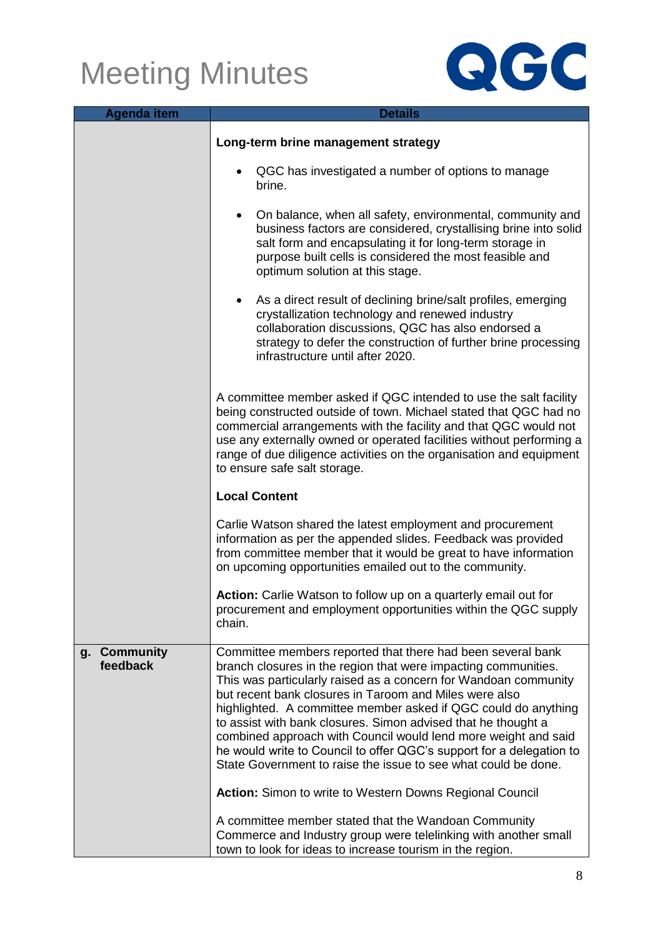

| <b>Agenda item</b>                 | <b>Details</b>                                                                                                                                                                                                                                                                                                                                                                                                                                                                                                                                                                                            |
|------------------------------------|-----------------------------------------------------------------------------------------------------------------------------------------------------------------------------------------------------------------------------------------------------------------------------------------------------------------------------------------------------------------------------------------------------------------------------------------------------------------------------------------------------------------------------------------------------------------------------------------------------------|
|                                    | Long-term brine management strategy                                                                                                                                                                                                                                                                                                                                                                                                                                                                                                                                                                       |
|                                    | QGC has investigated a number of options to manage<br>brine.                                                                                                                                                                                                                                                                                                                                                                                                                                                                                                                                              |
|                                    | On balance, when all safety, environmental, community and<br>$\bullet$<br>business factors are considered, crystallising brine into solid<br>salt form and encapsulating it for long-term storage in<br>purpose built cells is considered the most feasible and<br>optimum solution at this stage.                                                                                                                                                                                                                                                                                                        |
|                                    | As a direct result of declining brine/salt profiles, emerging<br>$\bullet$<br>crystallization technology and renewed industry<br>collaboration discussions, QGC has also endorsed a<br>strategy to defer the construction of further brine processing<br>infrastructure until after 2020.                                                                                                                                                                                                                                                                                                                 |
|                                    | A committee member asked if QGC intended to use the salt facility<br>being constructed outside of town. Michael stated that QGC had no<br>commercial arrangements with the facility and that QGC would not<br>use any externally owned or operated facilities without performing a<br>range of due diligence activities on the organisation and equipment<br>to ensure safe salt storage.                                                                                                                                                                                                                 |
|                                    | <b>Local Content</b>                                                                                                                                                                                                                                                                                                                                                                                                                                                                                                                                                                                      |
|                                    | Carlie Watson shared the latest employment and procurement<br>information as per the appended slides. Feedback was provided<br>from committee member that it would be great to have information<br>on upcoming opportunities emailed out to the community.                                                                                                                                                                                                                                                                                                                                                |
|                                    | Action: Carlie Watson to follow up on a quarterly email out for<br>procurement and employment opportunities within the QGC supply<br>chain.                                                                                                                                                                                                                                                                                                                                                                                                                                                               |
| <b>Community</b><br>g.<br>feedback | Committee members reported that there had been several bank<br>branch closures in the region that were impacting communities.<br>This was particularly raised as a concern for Wandoan community<br>but recent bank closures in Taroom and Miles were also<br>highlighted. A committee member asked if QGC could do anything<br>to assist with bank closures. Simon advised that he thought a<br>combined approach with Council would lend more weight and said<br>he would write to Council to offer QGC's support for a delegation to<br>State Government to raise the issue to see what could be done. |
|                                    | <b>Action:</b> Simon to write to Western Downs Regional Council<br>A committee member stated that the Wandoan Community<br>Commerce and Industry group were telelinking with another small<br>town to look for ideas to increase tourism in the region.                                                                                                                                                                                                                                                                                                                                                   |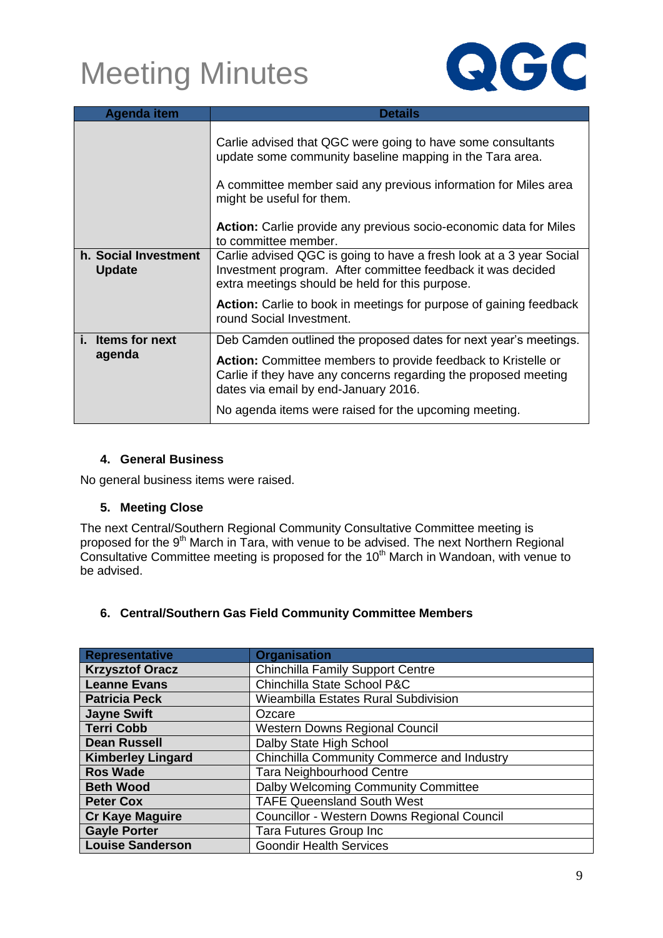

| <b>Agenda item</b>                    | <b>Details</b>                                                                                                                                                                                                                                                                                      |
|---------------------------------------|-----------------------------------------------------------------------------------------------------------------------------------------------------------------------------------------------------------------------------------------------------------------------------------------------------|
|                                       | Carlie advised that QGC were going to have some consultants<br>update some community baseline mapping in the Tara area.<br>A committee member said any previous information for Miles area<br>might be useful for them.<br><b>Action:</b> Carlie provide any previous socio-economic data for Miles |
|                                       | to committee member.                                                                                                                                                                                                                                                                                |
| h. Social Investment<br><b>Update</b> | Carlie advised QGC is going to have a fresh look at a 3 year Social<br>Investment program. After committee feedback it was decided<br>extra meetings should be held for this purpose.                                                                                                               |
|                                       | <b>Action:</b> Carlie to book in meetings for purpose of gaining feedback<br>round Social Investment.                                                                                                                                                                                               |
| <b>Items for next</b>                 | Deb Camden outlined the proposed dates for next year's meetings.                                                                                                                                                                                                                                    |
| agenda                                | <b>Action:</b> Committee members to provide feedback to Kristelle or<br>Carlie if they have any concerns regarding the proposed meeting<br>dates via email by end-January 2016.                                                                                                                     |
|                                       | No agenda items were raised for the upcoming meeting.                                                                                                                                                                                                                                               |

#### **4. General Business**

No general business items were raised.

#### **5. Meeting Close**

The next Central/Southern Regional Community Consultative Committee meeting is proposed for the 9<sup>th</sup> March in Tara, with venue to be advised. The next Northern Regional Consultative Committee meeting is proposed for the 10<sup>th</sup> March in Wandoan, with venue to be advised.

### **6. Central/Southern Gas Field Community Committee Members**

| <b>Representative</b>    | <b>Organisation</b>                         |
|--------------------------|---------------------------------------------|
| <b>Krzysztof Oracz</b>   | <b>Chinchilla Family Support Centre</b>     |
| <b>Leanne Evans</b>      | Chinchilla State School P&C                 |
| <b>Patricia Peck</b>     | Wieambilla Estates Rural Subdivision        |
| <b>Jayne Swift</b>       | Ozcare                                      |
| <b>Terri Cobb</b>        | <b>Western Downs Regional Council</b>       |
| <b>Dean Russell</b>      | Dalby State High School                     |
| <b>Kimberley Lingard</b> | Chinchilla Community Commerce and Industry  |
| <b>Ros Wade</b>          | <b>Tara Neighbourhood Centre</b>            |
| <b>Beth Wood</b>         | Dalby Welcoming Community Committee         |
| <b>Peter Cox</b>         | <b>TAFE Queensland South West</b>           |
| <b>Cr Kaye Maguire</b>   | Councillor - Western Downs Regional Council |
| <b>Gayle Porter</b>      | Tara Futures Group Inc                      |
| <b>Louise Sanderson</b>  | <b>Goondir Health Services</b>              |